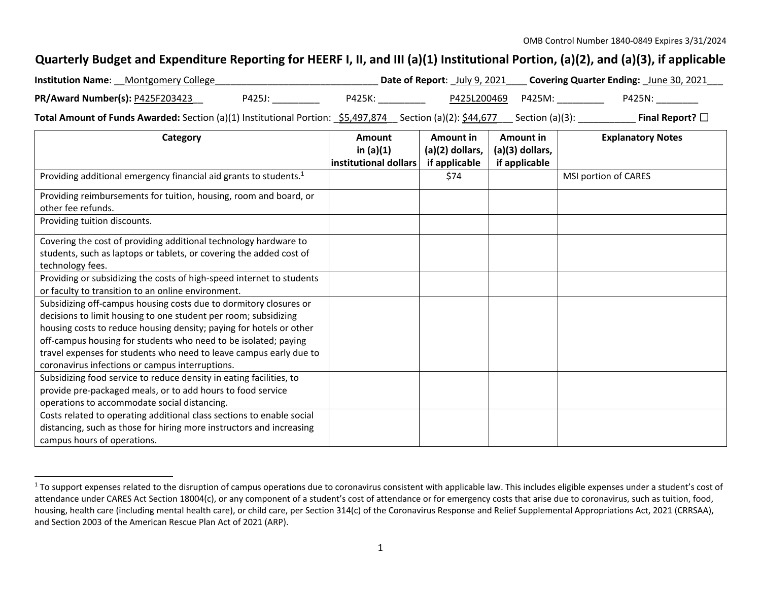## Quarterly Budget and Expenditure Reporting for HEERF I, II, and III (a)(1) Institutional Portion, (a)(2), and (a)(3), if applicable

| <b>Institution Name:</b> Montgomery College                                                               |        |        | <b>Date of Report:</b> July 9, 2021 |                   | <b>Covering Quarter Ending:</b> June 30, 2021 |
|-----------------------------------------------------------------------------------------------------------|--------|--------|-------------------------------------|-------------------|-----------------------------------------------|
| PR/Award Number(s): P425F203423                                                                           | P425J: | P425K: | P425L200469 P425M:                  |                   | P425N:                                        |
| Total Amount of Funds Awarded: Section (a)(1) Institutional Portion: \$5,497,874 Section (a)(2): \$44,677 |        |        |                                     | _ Section (a)(3): | Final Report? $\square$                       |

| Category                                                                                                                                                                                                                                                                                                                                                                                                | Amount<br>in $(a)(1)$ | Amount in<br>(a)(2) dollars, | Amount in<br>(a)(3) dollars, | <b>Explanatory Notes</b> |
|---------------------------------------------------------------------------------------------------------------------------------------------------------------------------------------------------------------------------------------------------------------------------------------------------------------------------------------------------------------------------------------------------------|-----------------------|------------------------------|------------------------------|--------------------------|
|                                                                                                                                                                                                                                                                                                                                                                                                         | institutional dollars | if applicable                | if applicable                |                          |
| Providing additional emergency financial aid grants to students. <sup>1</sup>                                                                                                                                                                                                                                                                                                                           |                       | \$74                         |                              | MSI portion of CARES     |
| Providing reimbursements for tuition, housing, room and board, or<br>other fee refunds.                                                                                                                                                                                                                                                                                                                 |                       |                              |                              |                          |
| Providing tuition discounts.                                                                                                                                                                                                                                                                                                                                                                            |                       |                              |                              |                          |
| Covering the cost of providing additional technology hardware to<br>students, such as laptops or tablets, or covering the added cost of<br>technology fees.                                                                                                                                                                                                                                             |                       |                              |                              |                          |
| Providing or subsidizing the costs of high-speed internet to students<br>or faculty to transition to an online environment.                                                                                                                                                                                                                                                                             |                       |                              |                              |                          |
| Subsidizing off-campus housing costs due to dormitory closures or<br>decisions to limit housing to one student per room; subsidizing<br>housing costs to reduce housing density; paying for hotels or other<br>off-campus housing for students who need to be isolated; paying<br>travel expenses for students who need to leave campus early due to<br>coronavirus infections or campus interruptions. |                       |                              |                              |                          |
| Subsidizing food service to reduce density in eating facilities, to<br>provide pre-packaged meals, or to add hours to food service<br>operations to accommodate social distancing.<br>Costs related to operating additional class sections to enable social<br>distancing, such as those for hiring more instructors and increasing<br>campus hours of operations.                                      |                       |                              |                              |                          |

 $^1$  To support expenses related to the disruption of campus operations due to coronavirus consistent with applicable law. This includes eligible expenses under a student's cost of attendance under CARES Act Section 18004(c), or any component of <sup>a</sup> student's cost of attendance or for emergency costs that arise due to coronavirus, such as tuition, food, housing, health care (including mental health care), or child care, per Section 314(c) of the Coronavirus Response and Relief Supplemental Appropriations Act, 2021 (CRRSAA), and Section 2003 of the American Rescue Plan Act of 2021 (ARP).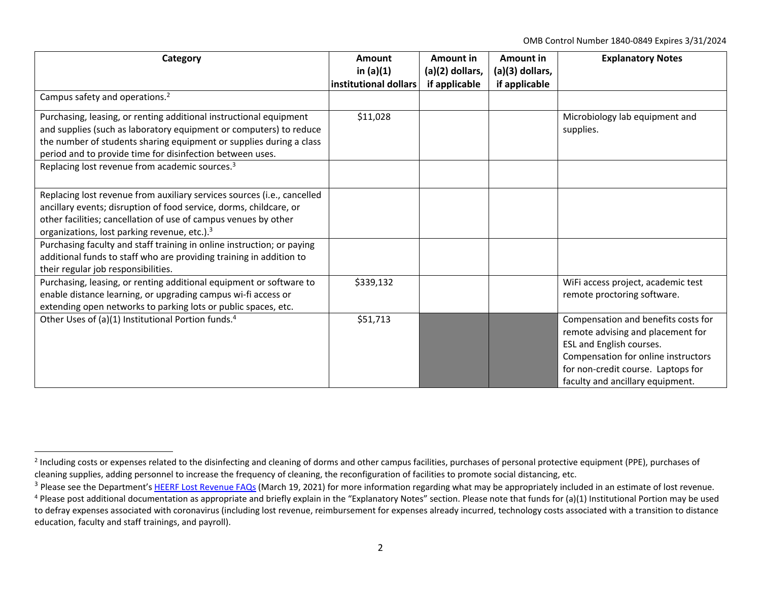OMB Control Number 1840‐0849 Expires 3/31/2024

| Category                                                                                                                                                                                                                                                                     | <b>Amount</b><br>in $(a)(1)$ | Amount in<br>$(a)(2)$ dollars, | Amount in<br>(a)(3) dollars, | <b>Explanatory Notes</b>                                                                                                                                                                                              |
|------------------------------------------------------------------------------------------------------------------------------------------------------------------------------------------------------------------------------------------------------------------------------|------------------------------|--------------------------------|------------------------------|-----------------------------------------------------------------------------------------------------------------------------------------------------------------------------------------------------------------------|
|                                                                                                                                                                                                                                                                              | institutional dollars        | if applicable                  | if applicable                |                                                                                                                                                                                                                       |
| Campus safety and operations. <sup>2</sup>                                                                                                                                                                                                                                   |                              |                                |                              |                                                                                                                                                                                                                       |
| Purchasing, leasing, or renting additional instructional equipment<br>and supplies (such as laboratory equipment or computers) to reduce                                                                                                                                     | \$11,028                     |                                |                              | Microbiology lab equipment and<br>supplies.                                                                                                                                                                           |
| the number of students sharing equipment or supplies during a class<br>period and to provide time for disinfection between uses.                                                                                                                                             |                              |                                |                              |                                                                                                                                                                                                                       |
| Replacing lost revenue from academic sources. <sup>3</sup>                                                                                                                                                                                                                   |                              |                                |                              |                                                                                                                                                                                                                       |
| Replacing lost revenue from auxiliary services sources (i.e., cancelled<br>ancillary events; disruption of food service, dorms, childcare, or<br>other facilities; cancellation of use of campus venues by other<br>organizations, lost parking revenue, etc.). <sup>3</sup> |                              |                                |                              |                                                                                                                                                                                                                       |
| Purchasing faculty and staff training in online instruction; or paying<br>additional funds to staff who are providing training in addition to<br>their regular job responsibilities.                                                                                         |                              |                                |                              |                                                                                                                                                                                                                       |
| Purchasing, leasing, or renting additional equipment or software to<br>enable distance learning, or upgrading campus wi-fi access or<br>extending open networks to parking lots or public spaces, etc.                                                                       | \$339,132                    |                                |                              | WiFi access project, academic test<br>remote proctoring software.                                                                                                                                                     |
| Other Uses of (a)(1) Institutional Portion funds. <sup>4</sup>                                                                                                                                                                                                               | \$51,713                     |                                |                              | Compensation and benefits costs for<br>remote advising and placement for<br>ESL and English courses.<br>Compensation for online instructors<br>for non-credit course. Laptops for<br>faculty and ancillary equipment. |

<sup>&</sup>lt;sup>2</sup> Including costs or expenses related to the disinfecting and cleaning of dorms and other campus facilities, purchases of personal protective equipment (PPE), purchases of cleaning supplies, adding personnel to increase the frequency of cleaning, the reconfiguration of facilities to promote social distancing, etc.

<sup>&</sup>lt;sup>3</sup> Please see the Department's HEERF Lost Revenue FAQs (March 19, 2021) for more information regarding what may be appropriately included in an estimate of lost revenue.

<sup>&</sup>lt;sup>4</sup> Please post additional documentation as appropriate and briefly explain in the "Explanatory Notes" section. Please note that funds for (a)(1) Institutional Portion may be used to defray expenses associated with coronavirus (including lost revenue, reimbursement for expenses already incurred, technology costs associated with <sup>a</sup> transition to distance education, faculty and staff trainings, and payroll).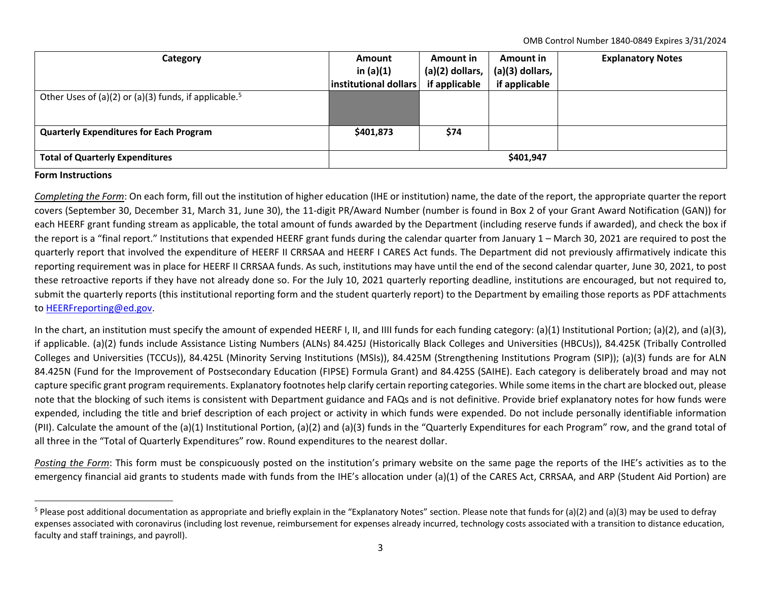OMB Control Number 1840‐0849 Expires 3/31/2024

| Category                                                          | <b>Amount</b>         | Amount in         | Amount in       | <b>Explanatory Notes</b> |
|-------------------------------------------------------------------|-----------------------|-------------------|-----------------|--------------------------|
|                                                                   | in $(a)(1)$           | $(a)(2)$ dollars, | (a)(3) dollars, |                          |
|                                                                   | institutional dollars | if applicable     | if applicable   |                          |
| Other Uses of (a)(2) or (a)(3) funds, if applicable. <sup>5</sup> |                       |                   |                 |                          |
|                                                                   |                       |                   |                 |                          |
| <b>Quarterly Expenditures for Each Program</b>                    | \$401,873             | \$74              |                 |                          |
|                                                                   |                       |                   |                 |                          |
| <b>Total of Quarterly Expenditures</b>                            | \$401,947             |                   |                 |                          |

## **Form Instructions**

*Completing the Form*: On each form, fill out the institution of higher education (IHE or institution) name, the date of the report, the appropriate quarter the report covers (September 30, December 31, March 31, June 30), the 11‐digit PR/Award Number (number is found in Box 2 of your Grant Award Notification (GAN)) for each HEERF grant funding stream as applicable, the total amount of funds awarded by the Department (including reserve funds if awarded), and check the box if the report is <sup>a</sup> "final report." Institutions that expended HEERF grant funds during the calendar quarter from January 1 – March 30, 2021 are required to post the quarterly report that involved the expenditure of HEERF II CRRSAA and HEERF I CARES Act funds. The Department did not previously affirmatively indicate this reporting requirement was in place for HEERF II CRRSAA funds. As such, institutions may have until the end of the second calendar quarter, June 30, 2021, to post these retroactive reports if they have not already done so. For the July 10, 2021 quarterly reporting deadline, institutions are encouraged, but not required to, submit the quarterly reports (this institutional reporting form and the student quarterly report) to the Department by emailing those reports as PDF attachments to <u>HEERFreporting@ed.gov</u>.

In the chart, an institution must specify the amount of expended HEERF I, II, and IIII funds for each funding category: (a)(1) Institutional Portion; (a)(2), and (a)(3), if applicable. (a)(2) funds include Assistance Listing Numbers (ALNs) 84.425J (Historically Black Colleges and Universities (HBCUs)), 84.425K (Tribally Controlled Colleges and Universities (TCCUs)), 84.425L (Minority Serving Institutions (MSIs)), 84.425M (Strengthening Institutions Program (SIP)); (a)(3) funds are for ALN 84.425N (Fund for the Improvement of Postsecondary Education (FIPSE) Formula Grant) and 84.425S (SAIHE). Each category is deliberately broad and may not capture specific grant program requirements. Explanatory footnotes help clarify certain reporting categories. While some itemsin the chart are blocked out, please note that the blocking of such items is consistent with Department guidance and FAQs and is not definitive. Provide brief explanatory notes for how funds were expended, including the title and brief description of each project or activity in which funds were expended. Do not include personally identifiable information (PII). Calculate the amount of the (a)(1) Institutional Portion, (a)(2) and (a)(3) funds in the "Quarterly Expenditures for each Program" row, and the grand total of all three in the "Total of Quarterly Expenditures" row. Round expenditures to the nearest dollar.

*Posting the Form*: This form must be conspicuously posted on the institution's primary website on the same page the reports of the IHE's activities as to the emergency financial aid grants to students made with funds from the IHE's allocation under (a)(1) of the CARES Act, CRRSAA, and ARP (Student Aid Portion) are

<sup>&</sup>lt;sup>5</sup> Please post additional documentation as appropriate and briefly explain in the "Explanatory Notes" section. Please note that funds for (a)(2) and (a)(3) may be used to defray expenses associated with coronavirus (including lost revenue, reimbursement for expenses already incurred, technology costs associated with <sup>a</sup> transition to distance education, faculty and staff trainings, and payroll).